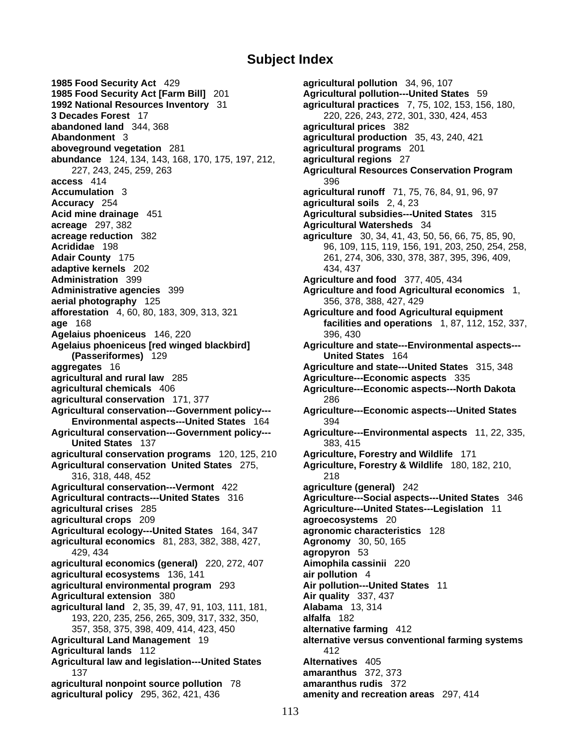## **Subject Index**

**1985 Food Security Act** 429 **agricultural pollution** 34, 96, 107 **1985 Food Security Act [Farm Bill]** 201 **Agricultural pollution---United States** 59 **1992 National Resources Inventory** 31 **agricultural practices** 7, 75, 102, 153, 156, 180, **abandoned land** 344, 368 **agricultural prices** 382 **Abandonment** 3 **agricultural production** 35, 43, 240, 421 **aboveground vegetation** 281 **agricultural programs** 201 **abundance** 124, 134, 143, 168, 170, 175, 197, 212, **agricultural regions** 27 **access** 414 396 **Accumulation** 3 **agricultural runoff** 71, 75, 76, 84, 91, 96, 97 **Accuracy** 254 **agricultural soils** 2, 4, 23 **Acid mine drainage** 451 **Agricultural subsidies---United States** 315 **acreage** 297, 382 **Agricultural Watersheds** 34 **acreage reduction** 382 **agriculture** 30, 34, 41, 43, 50, 56, 66, 75, 85, 90, **Acrididae** 198 96, 109, 115, 119, 156, 191, 203, 250, 254, 258, **Adair County** 175 261, 274, 306, 330, 378, 387, 395, 396, 409, **adaptive kernels** 202 **134, 437 Administration** 399 **Agriculture and food** 377, 405, 434 **Administrative agencies** 399 **Agriculture and food Agricultural economics** 1, **aerial photography** 125 356, 378, 388, 427, 429 **afforestation** 4, 60, 80, 183, 309, 313, 321 **Agriculture and food Agricultural equipment age** 168 **facilities and operations** 1, 87, 112, 152, 337, **Agelaius phoeniceus** 146, 220 396, 430 **Agelaius phoeniceus [red winged blackbird] Agriculture and state---Environmental aspects--- (Passeriformes)** 129 **United States** 164 **aggregates** 16 **Agriculture and state---United States** 315, 348 **agricultural and rural law 285 <b>Agriculture---Economic aspects** 335 **agricultural chemicals** 406 **Agriculture---Economic aspects---North Dakota agricultural conservation** 171, 377 286 **Agricultural conservation---Government policy--- Agriculture---Economic aspects---United States Environmental aspects---United States** 164 394 **Agricultural conservation---Government policy--- Agriculture---Environmental aspects** 11, 22, 335, **United States** 137 383, 415 **agricultural conservation programs** 120, 125, 210 **Agriculture, Forestry and Wildlife** 171 **Agricultural conservation United States** 275, **Agriculture, Forestry & Wildlife** 180, 182, 210, 316, 318, 448, 452 218 **Agricultural conservation---Vermont** 422 **agriculture (general)** 242 **Agricultural contracts---United States** 316 **Agriculture---Social aspects---United States** 346 **agricultural crises** 285 **Agriculture---United States---Legislation** 11 **agricultural crops** 209 **agroecosystems** 20 **Agricultural ecology---United States** 164, 347 **agronomic characteristics** 128 **agricultural economics** 81, 283, 382, 388, 427, **Agronomy** 30, 50, 165 429, 434 **agropyron** 53 **agricultural economics (general)** 220, 272, 407 **Aimophila cassinii** 220 **agricultural ecosystems** 136, 141 **air pollution** 4 **agricultural environmental program** 293 **Air pollution---United States** 11 **Agricultural extension** 380 **Air quality** 337, 437 **agricultural land** 2, 35, 39, 47, 91, 103, 111, 181, **Alabama** 13, 314 193, 220, 235, 256, 265, 309, 317, 332, 350, **alfalfa** 182 357, 358, 375, 398, 409, 414, 423, 450 **alternative farming** 412 **Agricultural Land Management** 19 **alternative versus conventional farming systems Agricultural lands** 112 412 **Agricultural law and legislation---United States Alternatives** 405 137 **amaranthus** 372, 373 **agricultural nonpoint source pollution** 78 **amaranthus rudis** 372 **agricultural policy** 295, 362, 421, 436 **amenity and recreation areas** 297, 414

**3 Decades Forest** 17 220, 226, 243, 272, 301, 330, 424, 453 227, 243, 245, 259, 263 **Agricultural Resources Conservation Program**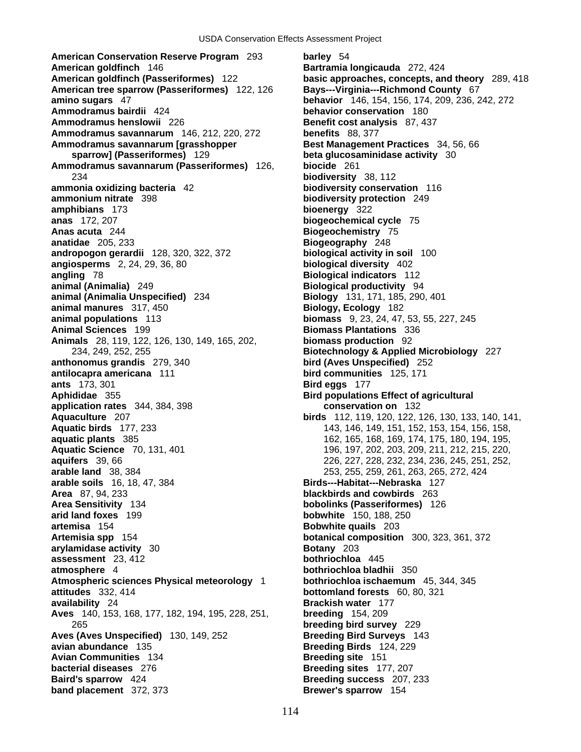**American Conservation Reserve Program** 293 **barley** 54 **American goldfinch** 146 **Bartramia longicauda** 272, 424 **American goldfinch (Passeriformes)** 122 **basic approaches, concepts, and theory** 289, 418 **American tree sparrow (Passeriformes)** 122, 126 **Bays---Virginia---Richmond County** 67 **amino sugars** 47 **behavior** 146, 154, 156, 174, 209, 236, 242, 272 **Ammodramus bairdii** 424 **behavior conservation** 180 **Ammodramus henslowii** 226 **Benefit cost analysis** 87, 437 **Ammodramus savannarum** 146, 212, 220, 272 **benefits** 88, 377 **Ammodramus savannarum [grasshopper Best Management Practices** 34, 56, 66 **sparrow] (Passeriformes)** 129 **beta glucosaminidase activity** 30 **Ammodramus savannarum (Passeriformes)** 126, **biocide** 261 234 **biodiversity** 38, 112 **ammonia oxidizing bacteria** 42 **biodiversity conservation** 116 **ammonium nitrate** 398 **biodiversity protection** 249 **amphibians** 173 **bioenergy** 322 **anas** 172, 207 **biogeochemical cycle** 75 **Anas acuta** 244 **Biogeochemistry** 75 **anatidae** 205, 233 **Biogeography** 248 **andropogon gerardii** 128, 320, 322, 372 **biological activity in soil** 100 **angiosperms** 2, 24, 29, 36, 80 **biological diversity** 402 **angling** 78 **Biological indicators** 112 **animal (Animalia)** 249 **Biological productivity** 94 **animal (Animalia Unspecified)** 234 **Biology** 131, 171, 185, 290, 401 **animal manures** 317, 450 **Biology, Ecology** 182 **Animal Sciences** 199 **Biomass Plantations** 336 **Animals** 28, 119, 122, 126, 130, 149, 165, 202, **biomass production** 92 234, 249, 252, 255 **Biotechnology & Applied Microbiology** 227 **anthonomus grandis** 279, 340 **bird (Aves Unspecified)** 252 **antilocapra americana** 111 **bird communities** 125, 171 **ants** 173, 301 **Bird eggs** 177 **Aphididae** 355 **Bird populations Effect of agricultural application rates** 344, 384, 398 **conservation on** 132 **Aquaculture** 207 **birds** 112, 119, 120, 122, 126, 130, 133, 140, 141, **Aquatic birds** 177, 233 143, 143, 146, 149, 151, 152, 153, 154, 156, 158, 158, 154, 156, 158, **aquatic plants** 385 162, 165, 168, 169, 174, 175, 180, 194, 195, **Aquatic Science** 70, 131, 401 196, 197, 202, 203, 209, 211, 212, 215, 220, 209, 211, 212, 215, 220, **aquifers** 39, 66 226, 227, 228, 232, 234, 236, 245, 251, 252, **arable land** 38, 384 253, 255, 259, 261, 263, 265, 272, 424 **arable soils** 16, 18, 47, 384 **Birds---Habitat---Nebraska** 127 **Area** 87, 94, 233 **blackbirds and cowbirds** 263 **Area Sensitivity** 134 **bobolinks (Passeriformes)** 126 **arid land foxes** 199 **bobwhite** 150, 188, 250 **artemisa** 154 **Bobwhite quails** 203 **Artemisia spp** 154 **botanical composition** 300, 323, 361, 372 **arylamidase activity** 30 **Botany** 203 **assessment** 23, 412 **bothriochloa** 445 **atmosphere** 4 **bothriochloa bladhii** 350 **Atmospheric sciences Physical meteorology** 1 **bothriochloa ischaemum** 45, 344, 345 **attitudes** 332, 414 **bottomland forests** 60, 80, 321 **availability** 24 **Brackish water** 177 **Aves** 140, 153, 168, 177, 182, 194, 195, 228, 251, **breeding** 154, 209 265 **breeding bird survey** 229 **Aves (Aves Unspecified)** 130, 149, 252 **Breeding Bird Surveys** 143 **avian abundance** 135 **Breeding Birds** 124, 229 **Avian Communities** 134 **Breeding site** 151 **bacterial diseases** 276 **Breeding sites** 177, 207 **Baird's sparrow** 424 **Breeding success** 207, 233 **band placement** 372, 373 **Brewer's sparrow** 154

114

**biomass** 9, 23, 24, 47, 53, 55, 227, 245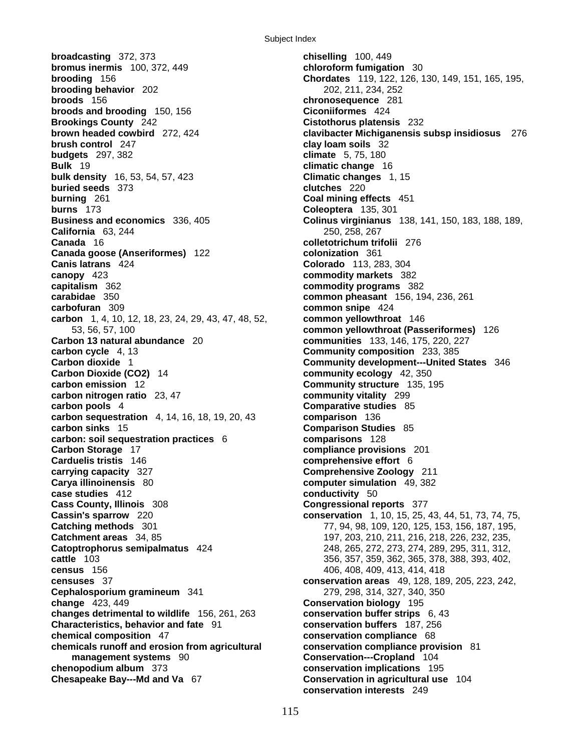**broadcasting** 372, 373 **chiselling** 100, 449 **bromus inermis** 100, 372, 449 **chloroform fumigation** 30 **brooding behavior** 202 202, 211, 234, 252 **broods** 156 **chronosequence** 281 **broods and brooding** 150, 156 **Ciconiiformes** 424 **Brookings County** 242 **Cistothorus platensis** 232 **brush control** 247 **clay loam soils** 32 **budgets** 297, 382 **climate** 5, 75, 180 **Bulk** 19 **climatic change** 16 **bulk density** 16, 53, 54, 57, 423 **Climatic changes** 1, 15 **buried seeds** 373 **clutches** 220 **burning** 261 **Coal mining effects** 451 **burns** 173 **Coleoptera** 135, 301 **California** 63, 244 250, 258, 267 **Canada** 16 **colletotrichum trifolii** 276 **Canada goose (Anseriformes)** 122 **colonization** 361 **Canis latrans** 424 **Colorado** 113, 283, 304 **canopy** 423 **commodity markets** 382 **capitalism** 362 **commodity programs** 382 **carabidae** 350 **common pheasant** 156, 194, 236, 261 **carbofuran** 309 **common snipe** 424 **carbon** 1, 4, 10, 12, 18, 23, 24, 29, 43, 47, 48, 52, **common yellowthroat** 146 53, 56, 57, 100 **common yellowthroat (Passeriformes)** 126 **Carbon 13 natural abundance** 20 **communities** 133, 146, 175, 220, 227 **carbon cycle** 4, 13 **Community composition** 233, 385 **Carbon dioxide** 1 **Community development---United States** 346 **Carbon Dioxide (CO2)** 14 **community ecology** 42, 350 **carbon emission** 12 **Community structure** 135, 195 **carbon nitrogen ratio** 23, 47 **community vitality** 299 **carbon pools** 4 **Comparative studies** 85 **carbon sequestration** 4, 14, 16, 18, 19, 20, 43 **comparison** 136 **carbon sinks** 15 **Comparison Studies** 85 **carbon: soil sequestration practices** 6 **comparisons** 128 **Carbon Storage** 17 **compliance provisions** 201 **Carduelis tristis** 146 **comprehensive effort** 6 **carrying capacity** 327 **Comprehensive Zoology** 211 **Carya illinoinensis** 80 **computer simulation** 49, 382 **case studies** 412 **conductivity** 50 **Cass County, Illinois** 308 **Congressional reports** 377 **Cassin's sparrow** 220 **conservation** 1, 10, 15, 25, 43, 44, 51, 73, 74, 75, **Catching methods** 301 77, 94, 98, 109, 120, 125, 153, 156, 187, 195, **Catchment areas** 34, 85 197, 203, 210, 211, 216, 218, 226, 232, 235, **Catoptrophorus semipalmatus** 424 248, 265, 272, 273, 274, 289, 295, 311, 312, **cattle** 103 356, 357, 359, 362, 365, 378, 388, 393, 402, **census** 156 406, 408, 409, 413, 414, 418 **censuses** 37 **conservation areas** 49, 128, 189, 205, 223, 242, **Cephalosporium gramineum** 341 279, 298, 314, 327, 340, 350 **change** 423, 449 **Conservation biology** 195 **changes detrimental to wildlife** 156, 261, 263 **conservation buffer strips** 6, 43 **Characteristics, behavior and fate** 91 **conservation buffers** 187, 256 **chemical composition** 47 **conservation compliance** 68 **chemicals runoff and erosion from agricultural conservation compliance provision** 81 **management systems** 90 **Conservation---Cropland** 104 **chenopodium album** 373 **conservation implications** 195

**brooding** 156 **Chordates** 119, 122, 126, 130, 149, 151, 165, 195, **brown headed cowbird** 272, 424 **clavibacter Michiganensis subsp insidiosus** 276 **Business and economics** 336, 405 **Colinus virginianus** 138, 141, 150, 183, 188, 189, **Conservation in agricultural use** 104 **conservation interests** 249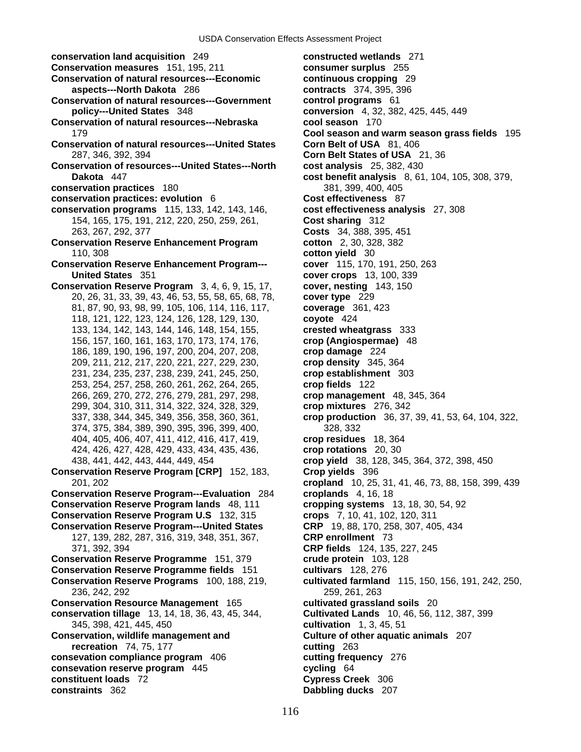**conservation land acquisition** 249 **constructed wetlands** 271

- **Conservation measures** 151, 195, 211 **consumer surplus** 255
- **Conservation of natural resources---Economic continuous cropping** 29 **aspects---North Dakota** 286 **contracts** 374, 395, 396
- **Conservation of natural resources---Government control programs** 61 **policy---United States** 348 **conversion** 4, 32, 382, 425, 445, 449
- **Conservation of natural resources---Nebraska cool season** 170
- **Conservation of natural resources---United States Corn Belt of USA** 81, 406 287, 346, 392, 394 **Corn Belt States of USA** 21, 36
- **Conservation of resources---United States---North cost analysis** 25, 382, 430 **Dakota** 447 **cost benefit analysis** 8, 61, 104, 105, 308, 379,
- **conservation practices** 180 381, 399, 400, 405
- **conservation practices: evolution** 6 **Cost effectiveness** 87
- **conservation programs** 115, 133, 142, 143, 146, **cost effectiveness analysis** 27, 308 154, 165, 175, 191, 212, 220, 250, 259, 261, **Cost sharing** 312 263, 267, 292, 377 **Costs** 34, 388, 395, 451
- **Conservation Reserve Enhancement Program cotton** 2, 30, 328, 382 110, 308 **cotton yield** 30
- **Conservation Reserve Enhancement Program--- cover** 115, 170, 191, 250, 263 **United States** 351 **cover crops** 13, 100, 339
- **Conservation Reserve Program** 3, 4, 6, 9, 15, 17, **cover, nesting** 143, 150 20, 26, 31, 33, 39, 43, 46, 53, 55, 58, 65, 68, 78, **cover type** 229 81, 87, 90, 93, 98, 99, 105, 106, 114, 116, 117, **coverage** 361, 423 118, 121, 122, 123, 124, 126, 128, 129, 130, **coyote** 424 133, 134, 142, 143, 144, 146, 148, 154, 155, **crested wheatgrass** 333 156, 157, 160, 161, 163, 170, 173, 174, 176, **crop (Angiospermae)** 48 186, 189, 190, 196, 197, 200, 204, 207, 208, **crop damage** 224 209, 211, 212, 217, 220, 221, 227, 229, 230, **crop density** 345, 364 231, 234, 235, 237, 238, 239, 241, 245, 250, **crop establishment** 303 253, 254, 257, 258, 260, 261, 262, 264, 265, **crop fields** 122 266, 269, 270, 272, 276, 279, 281, 297, 298, **crop management** 48, 345, 364 299, 304, 310, 311, 314, 322, 324, 328, 329, **crop mixtures** 276, 342 374, 375, 384, 389, 390, 395, 396, 399, 400, 328, 332 404, 405, 406, 407, 411, 412, 416, 417, 419, **crop residues** 18, 364 424, 426, 427, 428, 429, 433, 434, 435, 436, **crop rotations** 20, 30 438, 441, 442, 443, 444, 449, 454 **crop yield** 38, 128, 345, 364, 372, 398, 450
- **Conservation Reserve Program [CRP]** 152, 183, **Crop yields** 396
- **Conservation Reserve Program---Evaluation** 284 **croplands** 4, 16, 18 **Conservation Reserve Program lands** 48, 111 **cropping systems** 13, 18, 30, 54, 92 **Conservation Reserve Program U.S** 132, 315 **crops** 7, 10, 41, 102, 120, 311 **Conservation Reserve Program---United States CRP** 19, 88, 170, 258, 307, 405, 434 127, 139, 282, 287, 316, 319, 348, 351, 367, **CRP enrollment** 73 371, 392, 394 **CRP fields** 124, 135, 227, 245 **Conservation Reserve Programme** 151, 379 **crude protein** 103, 128 **Conservation Reserve Programme fields** 151 **cultivars** 128, 276
- 236, 242, 292 259, 261, 263
- **Conservation Resource Management** 165 **cultivated grassland soils** 20
- **conservation tillage** 13, 14, 18, 36, 43, 45, 344, **Cultivated Lands** 10, 46, 56, 112, 387, 399 345, 398, 421, 445, 450 **cultivation** 1, 3, 45, 51
- **Conservation, wildlife management and Culture of other aquatic animals** 207 **recreation** 74, 75, 177 **cutting** 263
- **consevation compliance program** 406 **cutting frequency** 276
- **consevation reserve program** 445 **cycling** 64
- **constituent loads** 72 **Cypress Creek** 306
- **constraints** 362 **Dabbling ducks** 207

179 **Cool season and warm season grass fields** 195 337, 338, 344, 345, 349, 356, 358, 360, 361, **crop production** 36, 37, 39, 41, 53, 64, 104, 322, 201, 202 **cropland** 10, 25, 31, 41, 46, 73, 88, 158, 399, 439 **Conservation Reserve Programs** 100, 188, 219, **cultivated farmland** 115, 150, 156, 191, 242, 250,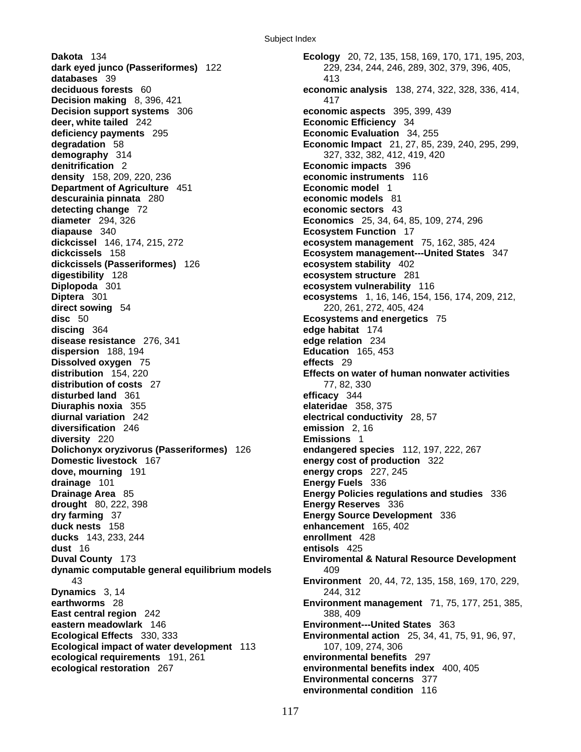**Dakota** 134 **Ecology** 20, 72, 135, 158, 169, 170, 171, 195, 203, **dark eyed junco (Passeriformes)** 122 229, 234, 244, 246, 289, 302, 379, 396, 405, **databases** 39 413<br>**deciduous forests** 60 **60 economism Decision making** 8, 396, 421 417 **Decision support systems** 306 **economic aspects** 395, 399, 439 **deer, white tailed** 242 **Economic Efficiency** 34 **deficiency payments** 295 **Economic Evaluation** 34, 255 **demography** 314 327, 332, 382, 412, 419, 420 **denitrification** 2 **Economic impacts** 396 **density** 158, 209, 220, 236 **economic instruments** 116 **Department of Agriculture** 451 **Economic model** 1 **descurainia pinnata** 280 **economic models** 81 **detecting change** 72 **economic sectors** 43 **diameter** 294, 326 **Economics** 25, 34, 64, 85, 109, 274, 296 **diapause** 340 **Ecosystem Function** 17 **dickcissel** 146, 174, 215, 272 **ecosystem management** 75, 162, 385, 424 **dickcissels** 158 **Ecosystem management---United States** 347 **dickcissels (Passeriformes)** 126 **ecosystem stability** 402 **digestibility** 128 **ecosystem structure** 281 **Diplopoda** 301 **ecosystem vulnerability** 116 **Diptera** 301 **ecosystems** 1, 16, 146, 154, 156, 174, 209, 212, **direct sowing** 54 220, 261, 272, 405, 424 **disc** 50 **Ecosystems and energetics** 75 **discing** 364 **edge habitat** 174 **disease resistance** 276, 341 **edge relation** 234 **dispersion** 188, 194 **Education** 165, 453 **Dissolved oxygen** 75 **effects** 29 **distribution** 154, 220 **Effects on water of human nonwater activities distribution of costs** 27 77, 82, 330 **disturbed land** 361 **efficacy** 344 **Diuraphis noxia** 355 **elateridae** 358, 375 **diurnal variation** 242 **electrical conductivity** 28, 57 **diversification** 246 **emission** 2, 16 **diversity** 220 **Emissions** 1 **Dolichonyx oryzivorus (Passeriformes)** 126 **endangered species** 112, 197, 222, 267 **Domestic livestock** 167 **energy cost of production** 322 **dove, mourning** 191 **energy crops** 227, 245 **drainage** 101 **Energy Fuels** 336 **Drainage Area** 85 **Energy Policies regulations and studies** 336 **drought** 80, 222, 398 **Energy Reserves** 336 **dry farming** 37 **Energy Source Development** 336 **duck nests** 158 **enhancement** 165, 402 **ducks** 143, 233, 244 **enrollment** 428 **dust** 16 **entisols** 425 dynamic computable general equilibrium models 409 **Dynamics** 3, 14 244, 312 **East central region** 242 388, 409 **eastern meadowlark** 146 **Environment---United States** 363 **Ecological Effects** 330, 333 **Environmental action** 25, 34, 41, 75, 91, 96, 97, **Ecological impact of water development** 113 107, 109, 274, 306 **ecological requirements** 191, 261 **environmental benefits** 297

**economic analysis** 138, 274, 322, 328, 336, 414, **degradation** 58 **Economic Impact** 21, 27, 85, 239, 240, 295, 299, **Duval County** 173 **Enviromental & Natural Resource Development** 43 **Environment** 20, 44, 72, 135, 158, 169, 170, 229, **earthworms** 28 **Environment management** 71, 75, 177, 251, 385, **ecological restoration** 267 **environmental benefits index** 400, 405 **Environmental concerns** 377 **environmental condition** 116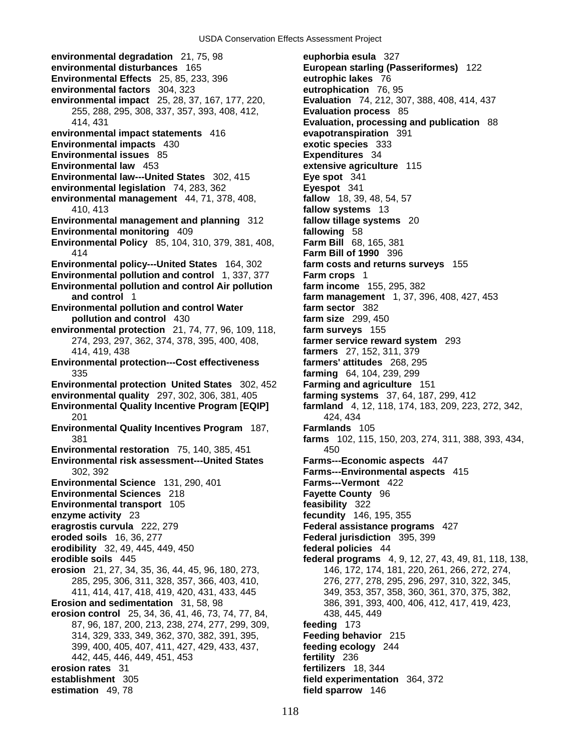**environmental degradation** 21, 75, 98 **euphorbia esula** 327 **environmental disturbances** 165 **European starling (Passeriformes)** 122 **Environmental Effects** 25, 85, 233, 396 **eutrophic lakes** 76 **environmental factors** 304, 323 **eutrophication** 76, 95 **environmental impact** 25, 28, 37, 167, 177, 220, **Evaluation** 74, 212, 307, 388, 408, 414, 437 255, 288, 295, 308, 337, 357, 393, 408, 412, **Evaluation process** 85 414, 431 **Evaluation, processing and publication** 88 **environmental impact statements** 416 **evapotranspiration** 391 **Environmental impacts** 430 **exotic species** 333 **Environmental issues** 85 **Expenditures** 34 **Environmental law** 453 **extensive agriculture** 115 **Environmental law---United States** 302, 415 **Eye spot** 341 **environmental legislation** 74, 283, 362 **Eyespot** 341 **environmental management** 44, 71, 378, 408, **fallow** 18, 39, 48, 54, 57 410, 413 **fallow systems** 13 **Environmental management and planning** 312 **fallow tillage systems** 20 **Environmental monitoring** 409 **Environmental Policy** 85, 104, 310, 379, 381, 408, **Farm Bill** 68, 165, 381 414 **Farm Bill of 1990** 396 **Environmental policy---United States** 164, 302 **farm costs and returns surveys** 155 **Environmental pollution and control** 1, 337, 377 **Farm crops** 1 **Environmental pollution and control Air pollution farm income** 155, 295, 382 **and control** 1 **farm management** 1, 37, 396, 408, 427, 453 **Environmental pollution and control Water farm sector** 382 **pollution and control** 430 **farm size** 299, 450 **environmental protection** 21, 74, 77, 96, 109, 118, **farm surveys** 155 274, 293, 297, 362, 374, 378, 395, 400, 408, **farmer service reward system** 293 414, 419, 438 **farmers** 27, 152, 311, 379 **Environmental protection---Cost effectiveness farmers' attitudes** 268, 295 335 **farming** 64, 104, 239, 299 **Environmental protection United States** 302, 452 **Farming and agriculture** 151 **environmental quality** 297, 302, 306, 381, 405 **farming systems** 37, 64, 187, 299, 412 **Environmental Quality Incentive Program [EQIP] farmland** 4, 12, 118, 174, 183, 209, 223, 272, 342, 201 424, 434 **Environmental Quality Incentives Program** 187, **Farmlands** 105 **Environmental restoration** 75, 140, 385, 451 450 **Environmental risk assessment---United States Farms---Economic aspects** 447 302, 392 **Farms---Environmental aspects** 415 **Environmental Science** 131, 290, 401 **Farms---Vermont** 422 **Environmental Sciences** 218 **Fayette County** 96 **Environmental transport** 105 **feasibility** 322 **enzyme activity** 23 **fecundity** 146, 195, 355 **eragrostis curvula** 222, 279 **Federal assistance programs** 427 **eroded soils** 16, 36, 277 **Federal jurisdiction** 395, 399 **erodibility** 32, 49, 445, 449, 450 **federal policies** 44 **erodible soils** 445 **federal programs** 4, 9, 12, 27, 43, 49, 81, 118, 138, **erosion** 21, 27, 34, 35, 36, 44, 45, 96, 180, 273, 146, 172, 174, 181, 220, 261, 266, 272, 274, 285, 295, 306, 311, 328, 357, 366, 403, 410, 276, 277, 278, 295, 296, 297, 310, 322, 345, 411, 414, 417, 418, 419, 420, 431, 433, 445 349, 353, 357, 358, 360, 361, 370, 375, 382, **Erosion and sedimentation** 31, 58, 98 386, 391, 393, 400, 406, 412, 417, 419, 423, **erosion control** 25, 34, 36, 41, 46, 73, 74, 77, 84, 438, 445, 449 87, 96, 187, 200, 213, 238, 274, 277, 299, 309, **feeding** 173 314, 329, 333, 349, 362, 370, 382, 391, 395, **Feeding behavior** 215 399, 400, 405, 407, 411, 427, 429, 433, 437, **feeding ecology** 244 442, 445, 446, 449, 451, 453 **fertility** 236 **erosion rates** 31 **fertilizers** 18, 344 **establishment** 305 **field experimentation** 364, 372 **estimation** 49, 78 **field sparrow** 146

118

381 **farms** 102, 115, 150, 203, 274, 311, 388, 393, 434,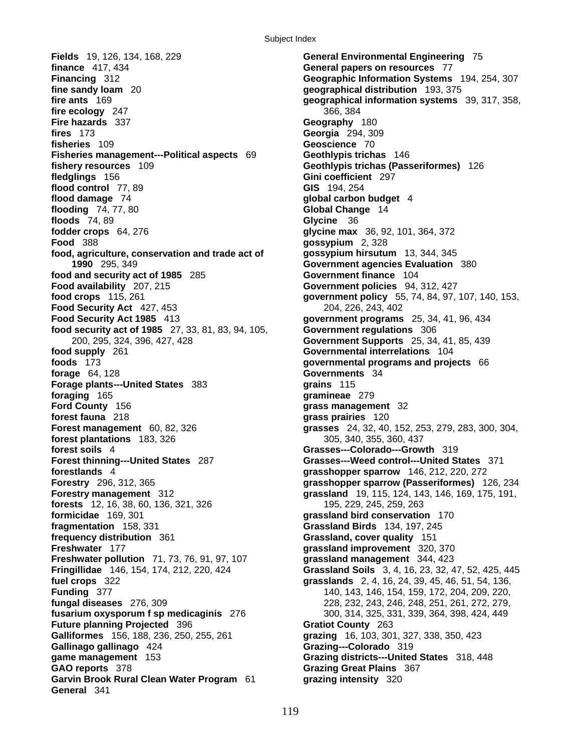**Fields** 19, 126, 134, 168, 229 **General Environmental Engineering** 75 **finance** 417, 434 **General papers on resources** 77 **Financing** 312 **Geographic Information Systems** 194, 254, 307 **fine sandy loam** 20 **geographical distribution** 193, 375 **fire ecology** 247 366, 384 **Fire hazards** 337 **Geography** 180 **fires** 173 **Georgia** 294, 309 **fisheries** 109 **Geoscience** 70 **Fisheries management---Political aspects** 69 **Geothlypis trichas** 146 **fishery resources** 109 **Geothlypis trichas (Passeriformes)** 126 **fledglings** 156 **Gini coefficient** 297 **flood control** 77, 89 **GIS** 194, 254 **flood damage** 74 **global carbon budget** 4 **flooding** 74, 77, 80 **Global Change** 14 **floods** 74, 89 **Glycine** 36 **fodder crops** 64, 276 **glycine max** 36, 92, 101, 364, 372 **Food** 388 **gossypium** 2, 328 **food, agriculture, conservation and trade act of gossypium hirsutum** 13, 344, 345 **1990** 295, 349 **Government agencies Evaluation** 380 **food and security act of 1985** 285 **Government finance** 104 **Food availability** 207, 215 **Government policies** 94, 312, 427 **food crops** 115, 261 **government policy** 55, 74, 84, 97, 107, 140, 153, **Food Security Act** 427, 453 **204, 204, 226, 243, 402 Food Security Act 1985** 413 **government programs** 25, 34, 41, 96, 434 **food security act of 1985** 27, 33, 81, 83, 94, 105, **Government regulations** 306 200, 295, 324, 396, 427, 428 **Government Supports** 25, 34, 41, 85, 439 **food supply** 261 **Governmental interrelations** 104 **foods** 173 **governmental programs and projects** 66 **forage** 64, 128 **Governments** 34 **Forage plants---United States** 383 **grains** 115 **foraging** 165 **gramineae** 279 **Ford County** 156 **grass management** 32 **forest fauna** 218 **grass prairies** 120 **Forest management** 60, 82, 326 **grasses** 24, 32, 40, 152, 253, 279, 283, 300, 304, **forest plantations** 183, 326 305, 340, 355, 360, 437 **forest soils** 4 **Grasses---Colorado---Growth** 319 **Forest thinning---United States** 287 **Grasses---Weed control---United States** 371 **forestlands** 4 **grasshopper sparrow** 146, 212, 220, 272 **Forestry management** 312 **grassland** 19, 115, 124, 143, 146, 169, 175, 191, **forests** 12, 16, 38, 60, 136, 321, 326 195, 229, 245, 259, 263 **formicidae** 169, 301 **grassland bird conservation** 170 **fragmentation** 158, 331 **Grassland Birds** 134, 197, 245 **frequency distribution** 361 **Grassland, cover quality** 151 **Freshwater** 177 **grassland improvement** 320, 370 **Freshwater pollution** 71, 73, 76, 91, 97, 107 **grassland management** 344, 423 **fuel crops** 322 **grasslands** 2, 4, 16, 24, 39, 45, 46, 51, 54, 136, **Funding** 377 **140, 143, 146, 154, 159, 172, 204, 209, 220, 200, 220, 200, 220, 200, 220, 200, 220, 200, 220, 200, 220, 200, 220, 200, 220, 200, 220, 200, 200, 200, 200, 200, 200, 200, 200, 200, 200, 200, 200, 200, 200, 20 fungal diseases** 276, 309 228, 232, 243, 246, 248, 251, 261, 272, 279, **fusarium oxysporum f sp medicaginis** 276 300, 314, 325, 331, 339, 364, 398, 424, 449 **Future planning Projected** 396 **Gratiot County** 263 **Galliformes** 156, 188, 236, 250, 255, 261 **grazing** 16, 103, 301, 327, 338, 350, 423 **Gallinago gallinago** 424 **Grazing---Colorado** 319 **game management** 153 **Grazing districts---United States** 318, 448 **GAO reports** 378 **Grazing Great Plains** 367 **Garvin Brook Rural Clean Water Program** 61 **grazing intensity** 320 **General** 341

119

**fire ants** 169 **geographical information systems** 39, 317, 358, **Forestry** 296, 312, 365 **grasshopper sparrow (Passeriformes)** 126, 234 **Fringillidae** 146, 154, 174, 212, 220, 424 **Grassland Soils** 3, 4, 16, 23, 32, 47, 52, 425, 445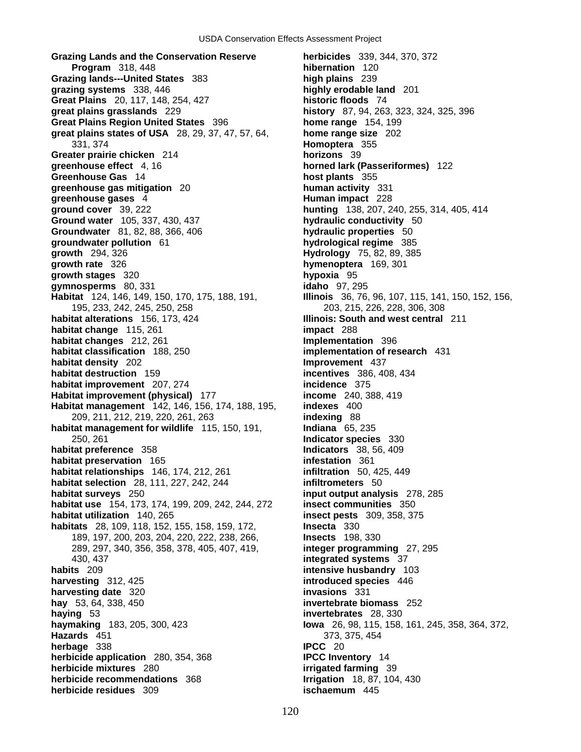**Grazing Lands and the Conservation Reserve herbicides** 339, 344, 370, 372 **Program** 318, 448 **hibernation** 120 **Grazing lands---United States** 383 **high plains** 239 **grazing systems** 338, 446 **highly erodable land** 201 **Great Plains** 20, 117, 148, 254, 427 **historic floods** 74 **great plains grasslands** 229 **history** 87, 94, 263, 323, 324, 325, 396 **Great Plains Region United States** 396 **home range** 154, 199 **great plains states of USA** 28, 29, 37, 47, 57, 64, **home range size** 202 331, 374 **Homoptera** 355 **Greater prairie chicken** 214 **horizons** 39 **greenhouse effect** 4, 16 **horned lark (Passeriformes)** 122 **Greenhouse Gas** 14 **host plants** 355 **greenhouse gas mitigation** 20 **human activity** 331 **greenhouse gases** 4 **Human impact** 228 **ground cover** 39, 222 **Human impact** 228 **hunting** 138, 207, 2 **Ground water** 105, 337, 430, 437 **hydraulic conductivity** 50 **Groundwater** 81, 82, 88, 366, 406 **hydraulic properties** 50 **groundwater pollution** 61 **hydrological regime** 385 **growth** 294, 326 **Hydrology** 75, 82, 89, 385 **growth rate** 326 **hymenoptera** 169, 301 **growth stages** 320 **hypoxia** 95 **gymnosperms** 80, 331 **idaho** 97, 295 **Habitat** 124, 146, 149, 150, 170, 175, 188, 191, **Illinois** 36, 76, 96, 107, 115, 141, 150, 152, 156, 195, 233, 242, 245, 250, 258 203, 215, 226, 228, 306, 308 **habitat alterations** 156, 173, 424 **Illinois: South and west central** 211 **habitat change** 115, 261 **impact** 288 **habitat changes** 212, 261 **Implementation** 396 **habitat classification** 188, 250 **implementation of research** 431 **habitat density** 202 **Improvement** 437 **habitat destruction** 159 **incentives** 386, 408, 434 **habitat improvement** 207, 274 **incidence** 375 **Habitat improvement (physical)** 177 **income** 240, 388, 419 **Habitat management** 142, 146, 156, 174, 188, 195, **indexes** 400 209, 211, 212, 219, 220, 261, 263 **indexing** 88 **habitat management for wildlife** 115, 150, 191, **Indiana** 65, 235 250, 261 **Indicator species** 330 **habitat preference** 358 **Indicators** 38, 56, 409 **habitat preservation** 165 **infestation** 361 **habitat relationships** 146, 174, 212, 261 **infiltration** 50, 425, 449 **habitat selection** 28, 111, 227, 242, 244 **infiltrometers** 50 **habitat surveys** 250 **input output analysis** 278, 285 **habitat use** 154, 173, 174, 199, 209, 242, 244, 272 **insect communities** 350 **habitat utilization** 140, 265 **insect pests** 309, 358, 375 **habitats** 28, 109, 118, 152, 155, 158, 159, 172, **Insecta** 330 189, 197, 200, 203, 204, 220, 222, 238, 266, **Insects** 198, 330 289, 297, 340, 356, 358, 378, 405, 407, 419, **integer programming** 27, 295 430, 437 **integrated systems** 37 **harvesting** 312, 425 **introduced species** 446 **harvesting date** 320 **invasions** 331 **hay** 53, 64, 338, 450 **invertebrate biomass** 252 **haying** 53 **invertebrates** 28, 330 **haymaking** 183, 205, 300, 423 **Iowa** 26, 98, 115, 158, 161, 245, 358, 364, 372, **Hazards** 451 373, 375, 454 373, 375, 454 **373**, 375, 454 **IPCC herbage** 338 **herbicide application** 280, 354, 368 **IPCC Inventory** 14 **herbicide mixtures** 280 **irrigated farming** 39 **herbicide recommendations** 368 **Irrigation** 18, 87, 104, 430 **herbicide residues** 309 **ischaemum** 445

**ground cover** 39, 222 **hunting** 138, 207, 240, 255, 314, 405, 414 **intensive husbandry** 103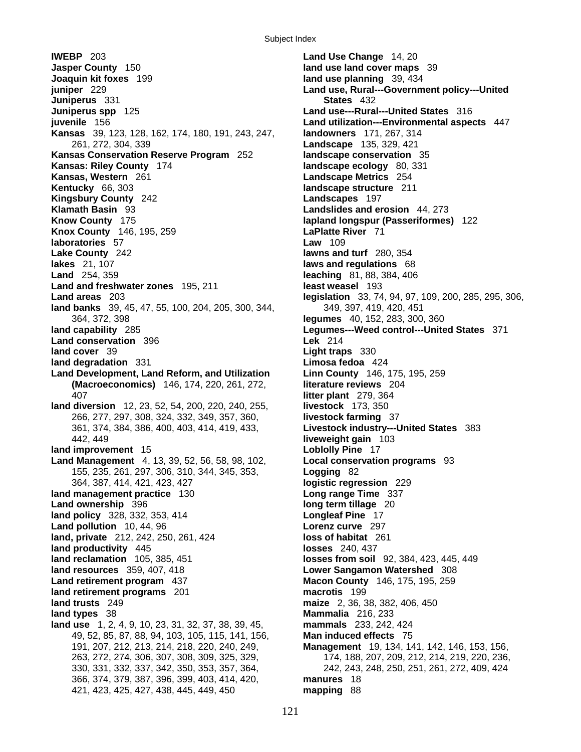**IWEBP** 203 **Land Use Change** 14, 20 **Jasper County** 150 **land use land cover maps** 39 **Joaquin kit foxes** 199 **land use planning** 39, 434 **juniper** 229 **Land use, Rural---Government policy---United Juniperus** 331 **States** 432 **Juniperus spp** 125 **Land use---Rural---United States** 316 **juvenile** 156 **Land utilization---Environmental aspects** 447 **Kansas** 39, 123, 128, 162, 174, 180, 191, 243, 247, **landowners** 171, 267, 314 261, 272, 304, 339 **Landscape** 135, 329, 421 **Kansas Conservation Reserve Program** 252 **landscape conservation** 35 **Kansas: Riley County** 174 **landscape ecology** 80, 331 **Kansas, Western** 261 **Landscape Metrics** 254 **Kentucky** 66, 303 **landscape structure** 211 **Kingsbury County** 242 **Landscapes** 197 **Klamath Basin** 93 **Landslides and erosion** 44, 273 **Know County** 175 **lapland longspur (Passeriformes)** 122 **Knox County** 146, 195, 259 **LaPlatte River** 71 **laboratories** 57 **Law** 109 **Lake County** 242 **lawns and turf** 280, 354 **lakes** 21, 107 **laws and regulations** 68 **Land and freshwater zones** 195, 211 **least weasel** 193 **Land areas** 203 **legislation** 33, 74, 94, 97, 109, 200, 285, 295, 306, land banks 39, 45, 47, 55, 100, 204, 205, 300, 344, 349, 397, 419, 420, 451 364, 372, 398 **legumes** 40, 152, 283, 300, 360 **land capability** 285 **Legumes---Weed control---United States** 371 **Land conservation** 396 **Lek** 214 **land cover** 39 **Light traps** 330 **land degradation** 331 **Limosa fedoa** 424 **Land Development, Land Reform, and Utilization Linn County** 146, 175, 195, 259 **(Macroeconomics)** 146, 174, 220, 261, 272, **literature reviews** 204 407 **litter plant** 279, 364 **land diversion** 12, 23, 52, 54, 200, 220, 240, 255, **livestock** 173, 350 266, 277, 297, 308, 324, 332, 349, 357, 360, **livestock farming** 37 361, 374, 384, 386, 400, 403, 414, 419, 433, **Livestock industry---United States** 383 442, 449 **liveweight gain** 103 **land improvement** 15 **Loblolly Pine** 17 **Land Management** 4, 13, 39, 52, 56, 58, 98, 102, **Local conservation programs** 93 155, 235, 261, 297, 306, 310, 344, 345, 353, **Logging** 82 364, 387, 414, 421, 423, 427 **logistic regression** 229 **land management practice** 130 **Long range Time** 337 **Land ownership** 396 **long term tillage** 20 **land policy** 328, 332, 353, 414 **Longleaf Pine** 17 **Land pollution** 10, 44, 96 **Lorenz curve** 297 **land, private** 212, 242, 250, 261, 424 **loss of habitat** 261 **land productivity** 445 **losses** 240, 437 **land reclamation** 105, 385, 451 **losses from soil** 92, 384, 423, 445, 449 **land resources** 359, 407, 418 **Lower Sangamon Watershed** 308 **Land retirement program** 437 **Macon County** 146, 175, 195, 259 **land retirement programs** 201 **macrotis** 199 **land trusts** 249 **maize** 2, 36, 38, 382, 406, 450 **land types** 38 **Mammalia** 216, 233 **land use** 1, 2, 4, 9, 10, 23, 31, 32, 37, 38, 39, 45, **mammals** 233, 242, 424 49, 52, 85, 87, 88, 94, 103, 105, 115, 141, 156, **Man induced effects** 75 191, 207, 212, 213, 214, 218, 220, 240, 249, **Management** 19, 134, 141, 142, 146, 153, 156, 263, 272, 274, 306, 307, 308, 309, 325, 329, 174, 188, 207, 209, 212, 214, 219, 220, 236, 330, 331, 332, 337, 342, 350, 353, 357, 364, 242, 243, 248, 250, 251, 261, 272, 409, 424 366, 374, 379, 387, 396, 399, 403, 414, 420, **manures** 18 421, 423, 425, 427, 438, 445, 449, 450 **mapping** 88

121

**Land** 254, 359 **leaching** 81, 88, 384, 406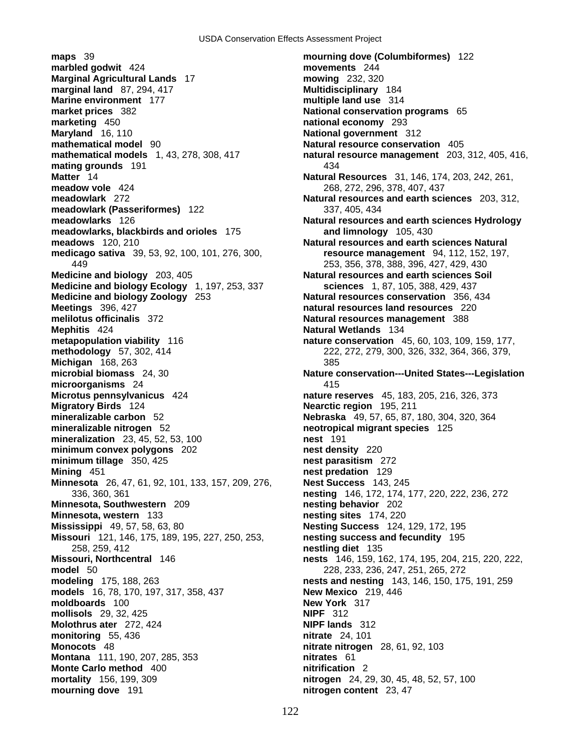**maps** 39 **mourning dove (Columbiformes)** 122 **marbled godwit** 424 **movements** 244 **Marginal Agricultural Lands** 17 **mowing** 232, 320 **marginal land** 87, 294, 417 **Multidisciplinary** 184 **Marine environment** 177 **multiple land use** 314 **multiple land use** 314 **multiple land use** 314 **marketing** 450 **national economy** 293 **Maryland** 16, 110 **National government** 312 **mathematical model** 90 **Natural resource conservation** 405 **mating grounds** 191 434 **Matter** 14 **Natural Resources** 31, 146, 174, 203, 242, 261, **meadow vole** 424 268, 272, 296, 378, 407, 437 **meadowlark** 272 **Natural resources and earth sciences** 203, 312, **meadowlark (Passeriformes)** 122 337, 405, 434 **meadowlarks** 126 **Natural resources and earth sciences Hydrology meadowlarks, blackbirds and orioles** 175 **and limnology** 105, 430 **meadows** 120, 210 **Natural resources and earth sciences Natural medicago sativa** 39, 53, 92, 100, 101, 276, 300, **resource management** 94, 112, 152, 197, 449 253, 356, 378, 388, 396, 427, 429, 430 **Medicine and biology** 203, 405 **Natural resources and earth sciences Soil Medicine and biology Ecology** 1, 197, 253, 337 **sciences** 1, 87, 105, 388, 429, 437 **Medicine and biology Zoology** 253 **Natural resources conservation** 356, 434 **Meetings** 396, 427 **natural resources land resources** 220 **melilotus officinalis** 372 **Natural resources management** 388 **Mephitis** 424 **Natural Wetlands** 134 **metapopulation viability** 116 **nature conservation** 45, 60, 103, 109, 159, 177, **methodology** 57, 302, 414 222, 272, 279, 300, 326, 332, 364, 366, 379, **Michigan** 168, 263 385 **microorganisms** 24 415 **Microtus pennsylvanicus** 424 **nature reserves** 45, 183, 205, 216, 326, 373 **Migratory Birds** 124 **Nearctic region** 195, 211 **mineralizable carbon** 52 **Nebraska** 49, 57, 65, 87, 180, 304, 320, 364 **mineralizable nitrogen** 52 **neotropical migrant species** 125 **mineralization** 23, 45, 52, 53, 100 **nest** 191 **minimum convex polygons** 202 **nest density** 220 **minimum tillage** 350, 425 **nest parasitism** 272 **Mining** 451 **nest predation** 129 **Minnesota** 26, 47, 61, 92, 101, 133, 157, 209, 276, **Nest Success** 143, 245 **Minnesota, Southwestern** 209 **nesting behavior** 202 **Minnesota, western** 133 **nesting sites** 174, 220 **Mississippi** 49, 57, 58, 63, 80 **Nesting Success** 124, 129, 172, 195 **Missouri** 121, 146, 175, 189, 195, 227, 250, 253, **nesting success and fecundity** 195 258, 259, 412 **nestling diet** 135 **Missouri, Northcentral** 146 **nests** 146, 159, 162, 174, 195, 204, 215, 220, 222, **model** 50 228, 233, 236, 247, 251, 265, 272 **modeling** 175, 188, 263 **nests and nesting** 143, 146, 150, 175, 191, 259 **models** 16, 78, 170, 197, 317, 358, 437 **New Mexico** 219, 446 **moldboards** 100 **New York** 317 **mollisols** 29, 32, 425 **NIPF** 312 **Molothrus ater** 272, 424 **NIPF lands** 312 **monitoring** 55, 436 **nitrate** 24, 101 **Monocots** 48 **nitrate nitrogen** 28, 61, 92, 103 **Montana** 111, 190, 207, 285, 353 **nitrates** 61 **Monte Carlo method** 400 **nitrification** 2 **mortality** 156, 199, 309 **nitrogen** 24, 29, 30, 45, 48, 52, 57, 100 **mourning dove** 191 **nitrogen content** 23, 47

**Mational conservation programs** 65 **mathematical models** 1, 43, 278, 308, 417 **natural resource management** 203, 312, 405, 416, **microbial biomass** 24, 30 **Nature conservation---United States---Legislation** 336, 360, 361 **nesting** 146, 172, 174, 177, 220, 222, 236, 272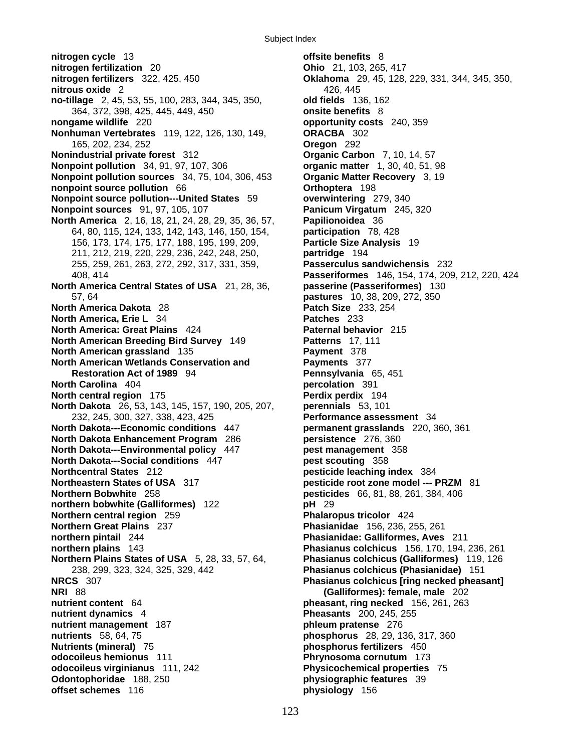**nitrogen cycle** 13 **offsite benefits** 8 **nitrogen fertilization** 20 **Ohio** 21, 103, 265, 417 **nitrogen fertilizers** 322, 425, 450 **Oklahoma** 29, 45, 128, 229, 331, 344, 345, 350, **nitrous oxide** 2 426, 445 **no-tillage** 2, 45, 53, 55, 100, 283, 344, 345, 350, **old fields** 136, 162 364, 372, 398, 425, 445, 449, 450 **onsite benefits** 8 **nongame wildlife** 220 **opportunity costs** 240, 359 **Nonhuman Vertebrates** 119, 122, 126, 130, 149, **ORACBA** 302 165, 202, 234, 252 **Oregon** 292 **Nonindustrial private forest** 312 **Organic Carbon** 7, 10, 14, 57 **Nonpoint pollution** 34, 91, 97, 107, 306 **organic matter** 1, 30, 40, 51, 98 **Nonpoint pollution sources** 34, 75, 104, 306, 453 **Organic Matter Recovery** 3, 19 **nonpoint source pollution** 66 **Orthoptera** 198 **Nonpoint source pollution---United States** 59 **overwintering** 279, 340 **Nonpoint sources** 91, 97, 105, 107 **Panicum Virgatum** 245, 320 **North America** 2, 16, 18, 21, 24, 28, 29, 35, 36, 57, **Papilionoidea** 36 64, 80, 115, 124, 133, 142, 143, 146, 150, 154, **participation** 78, 428 156, 173, 174, 175, 177, 188, 195, 199, 209, **Particle Size Analysis** 19 211, 212, 219, 220, 229, 236, 242, 248, 250, **partridge** 194 255, 259, 261, 263, 272, 292, 317, 331, 359, **Passerculus sandwichensis** 232 **North America Central States of USA** 21, 28, 36, **passerine (Passeriformes)** 130 57, 64 **pastures** 10, 38, 209, 272, 350 **North America Dakota** 28 **Patch Size** 233, 254 **North America, Erie L** 34 **Patches** 233 **North America: Great Plains** 424 **Paternal behavior** 215 **North American Breeding Bird Survey** 149 **Patterns** 17, 111 **North American grassland** 135 **Payment** 378 **North American Wetlands Conservation and Payments** 377 **Restoration Act of 1989** 94 **Pennsylvania** 65, 451 **North Carolina** 404 **percolation** 391 **North central region** 175 **Perdix perdix** 194 **North Dakota** 26, 53, 143, 145, 157, 190, 205, 207, **perennials** 53, 101 232, 245, 300, 327, 338, 423, 425 **Performance assessment** 34 **North Dakota---Economic conditions** 447 **permanent grasslands** 220, 360, 361 **North Dakota Enhancement Program** 286 **persistence** 276, 360 **North Dakota---Environmental policy** 447 **pest management** 358 **North Dakota---Social conditions** 447 **pest scouting** 358 **Northcentral States** 212 **pesticide leaching index** 384 **Northeastern States of USA** 317 **pesticide root zone model --- PRZM** 81 **Northern Bobwhite** 258 **pesticides** 66, 81, 88, 261, 384, 406 **northern bobwhite (Galliformes)** 122 **pH** 29 **Northern central region** 259 **Phalaropus tricolor** 424 **Northern Great Plains** 237 **Phasianidae** 156, 236, 255, 261 **northern pintail** 244 **Phasianidae: Galliformes, Aves** 211 **northern plains** 143 **Phasianus colchicus** 156, 170, 194, 236, 261 **Northern Plains States of USA** 5, 28, 33, 57, 64, **Phasianus colchicus (Galliformes)** 119, 126 238, 299, 323, 324, 325, 329, 442 **Phasianus colchicus (Phasianidae)** 151 **NRCS** 307 **Phasianus colchicus [ring necked pheasant] NRI** 88 **(Galliformes): female, male** 202 **nutrient content** 64 **pheasant, ring necked** 156, 261, 263 **nutrient dynamics** 4 **Pheasants** 200, 245, 255 **nutrient management** 187 **phleum pratense** 276 **nutrients** 58, 64, 75 **phosphorus** 28, 29, 136, 317, 360 **Nutrients (mineral)** 75 **phosphorus fertilizers** 450 **odocoileus hemionus** 111 **Phrynosoma cornutum** 173 **odocoileus virginianus** 111, 242 **Physicochemical properties** 75 **Odontophoridae** 188, 250 **physiographic features** 39 **offset schemes** 116 **physiology** 156

408, 414 **Passeriformes** 146, 154, 174, 209, 212, 220, 424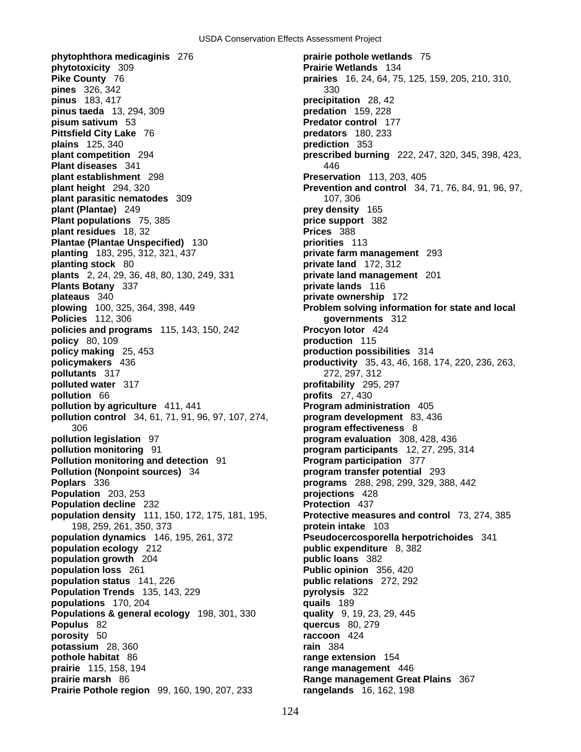**phytophthora medicaginis** 276 **prairie pothole wetlands** 75 **phytotoxicity** 309 **Prairie Wetlands** 134 **Pike County** 76 **prairies** 16, 24, 64, 75, 125, 159, 205, 210, 310, **pines** 326, 342 330 **pinus** 183, 417 **precipitation** 28, 42 **pinus taeda** 13, 294, 309 **predation** 159, 228 **pisum sativum** 53 **Predator control** 177 **Pittsfield City Lake** 76 **predators** 180, 233 **plains** 125, 340 **prediction** 353 **plant competition** 294 **prescribed burning** 222, 247, 320, 345, 398, 423, **Plant diseases** 341 446 **plant establishment** 298 **Preservation** 113, 203, 405 **plant height** 294, 320 **Prevention and control** 34, 71, 76, 84, 91, 96, 97, **plant parasitic nematodes** 309 107, 306 **plant (Plantae)** 249 **prey density** 165 **Plant populations** 75, 385 **price support** 382 **plant residues** 18, 32 **Prices** 388 **Plantae (Plantae Unspecified)** 130 **priorities** 113 **planting** 183, 295, 312, 321, 437 **private farm management** 293 **planting stock** 80 **private land** 172, 312 **plants** 2, 24, 29, 36, 48, 80, 130, 249, 331 **private land management** 201 **Plants Botany** 337 **private lands** 116 **plateaus** 340 **private ownership** 172 **plowing** 100, 325, 364, 398, 449 **Problem solving information for state and local Policies** 112, 306 **governments** 312 **policies and programs** 115, 143, 150, 242 **Procyon lotor** 424 **policy** 80, 109 **production** 115 **policy making** 25, 453 **production possibilities** 314 **policymakers** 436 **productivity** 35, 43, 46, 168, 174, 220, 236, 263, **pollutants** 317 272, 297, 312 **polluted water** 317 **profitability** 295, 297 **pollution** 66 **profits** 27, 430 **pollution by agriculture** 411, 441 **Program administration** 405 **pollution control** 34, 61, 71, 91, 96, 97, 107, 274, **program development** 83, 436 306 **program effectiveness** 8 **pollution legislation** 97 **program evaluation** 308, 428, 436 **pollution monitoring** 91 **program participants** 12, 27, 295, 314 **Pollution monitoring and detection** 91 **Program participation** 377 **Pollution (Nonpoint sources)** 34 **program transfer potential** 293 **Poplars** 336 **programs** 288, 298, 299, 329, 388, 442 **Population** 203, 253 **projections** 428 **Population decline** 232 **Protection** 437 **population density** 111, 150, 172, 175, 181, 195, **Protective measures and control** 73, 274, 385 198, 259, 261, 350, 373 **protein intake** 103 **population dynamics** 146, 195, 261, 372 **Pseudocercosporella herpotrichoides** 341 **population ecology** 212 **public expenditure** 8, 382 **population growth** 204 **public loans** 382 **population loss** 261 **Public opinion** 356, 420 **population status** 141, 226 **public relations** 272, 292 **Population Trends** 135, 143, 229 **pyrolysis** 322 **populations** 170, 204 **quails** 189 **Populations & general ecology** 198, 301, 330 **quality** 9, 19, 23, 29, 445 **Populus** 82 **quercus** 80, 279 **porosity** 50 **raccoon** 424 **potassium** 28, 360 **rain** 384 **pothole habitat** 86 **range extension** 154 **prairie** 115, 158, 194 **range management** 446 **prairie marsh** 86 **Range management Great Plains** 367 **Prairie Pothole region** 99, 160, 190, 207, 233 **rangelands** 16, 162, 198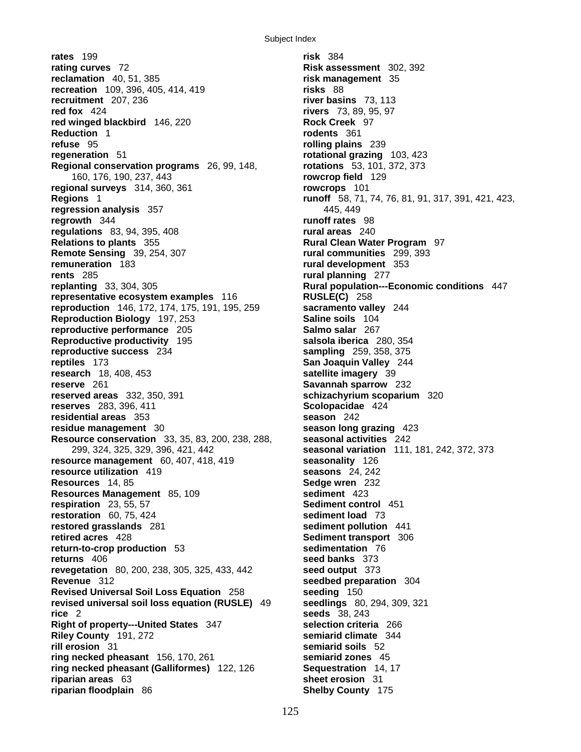**rates** 199 **risk** 384 **rating curves** 72 **Risk assessment** 302, 392 **reclamation** 40, 51, 385 **risk management** 35 **recreation** 109, 396, 405, 414, 419 **risks** 88 **recruitment** 207, 236 **river basins** 73, 113 **red fox** 424 **rivers** 73, 89, 95, 97 **red winged blackbird** 146, 220 **Rock Creek** 97 **Reduction** 1 **rodents** 361 **refuse** 95 **rolling plains** 239 **regeneration** 51 **rotational grazing** 103, 423 **Regional conservation programs** 26, 99, 148, **rotations** 53, 101, 372, 373 160, 176, 190, 237, 443 **rowcrop field** 129 **regional surveys** 314, 360, 361 **rowcrops** 101 **Regions** 1 **runoff** 58, 71, 74, 76, 81, 91, 317, 391, 421, 423, **regression analysis** 357 445, 449 **regrowth** 344 **runoff rates** 98 **regulations** 83, 94, 395, 408 **rural areas** 240 **Relations to plants** 355 **Rural Clean Water Program** 97 **Remote Sensing** 39, 254, 307 **rural communities** 299, 393 **remuneration** 183 **rural development** 353 **rents** 285 **rural planning** 277 **replanting** 33, 304, 305 **Rural population---Economic conditions** 447 **representative ecosystem examples** 116 **RUSLE(C)** 258 **reproduction** 146, 172, 174, 175, 191, 195, 259 **sacramento valley** 244 **Reproduction Biology** 197, 253 **Saline soils** 104 **reproductive performance** 205 **Salmo salar** 267 **Reproductive productivity** 195 **salsola iberica** 280, 354 **reproductive success** 234 **sampling** 259, 358, 375 **reptiles** 173 **San Joaquin Valley** 244 **research** 18, 408, 453 **satellite imagery** 39 **reserve** 261 **Savannah sparrow** 232 **reserved areas** 332, 350, 391 **schizachyrium scoparium** 320 **reserves** 283, 396, 411 **Scolopacidae** 424 **residential areas** 353 **season** 242 **residue management** 30 **season long grazing** 423 **Resource conservation** 33, 35, 83, 200, 238, 288, **seasonal activities** 242 299, 324, 325, 329, 396, 421, 442 **seasonal variation** 111, 181, 242, 372, 373 **resource management** 60, 407, 418, 419 **seasonality** 126 **resource utilization** 419 **seasons** 24, 242 **Resources** 14, 85 **Sedge wren** 232 **Resources Management** 85, 109 **sediment** 423 **respiration** 23, 55, 57 **Sediment control** 451 **restoration** 60, 75, 424 **sediment load** 73 **restored grasslands** 281 **sediment pollution** 441 **retired acres** 428 **Sediment transport** 306 **return-to-crop production** 53 **sedimentation** 76 **returns** 406 **seed banks** 373 **revegetation** 80, 200, 238, 305, 325, 433, 442 **seed output** 373 **Revenue** 312 **seedbed preparation** 304 **Revised Universal Soil Loss Equation** 258 **seeding** 150 **revised universal soil loss equation (RUSLE)** 49 **seedlings** 80, 294, 309, 321 **rice** 2 **seeds** 38, 243 **Right of property---United States** 347 **selection criteria** 266 **Riley County** 191, 272 **semiarid climate** 344 **rill erosion** 31 **semiarid soils** 52 **ring necked pheasant** 156, 170, 261 **semiarid zones** 45 **ring necked pheasant (Galliformes)** 122, 126 **Sequestration** 14, 17 **riparian areas** 63 **sheet erosion** 31 **riparian floodplain** 86 **Shelby County** 175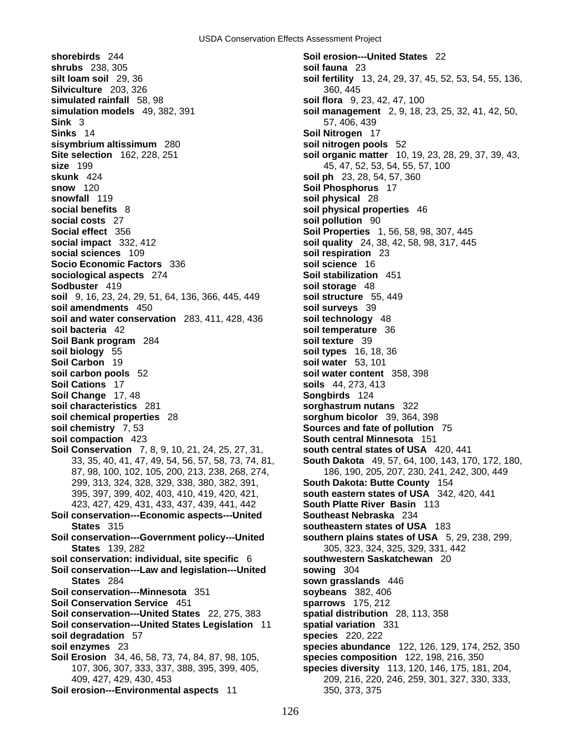**shorebirds** 244 **Soil erosion---United States** 22 **shrubs** 238, 305 **soil fauna** 23 **silt loam soil** 29, 36 **soil fertility** 13, 24, 29, 37, 45, 52, 53, 54, 55, 136, **Silviculture** 203, 326 360, 326 **simulated rainfall** 58, 98 **soil flora** 9, 23, 42, 47, 100 **simulation models** 49, 382, 391 **soil management** 2, 9, 18, 23, 25, 32, 41, 42, 50, **Sink** 3 57, 406, 439 **Sinks** 14 **Soil Nitrogen** 17 **sisymbrium altissimum** 280 **soil nitrogen pools** 52 **Site selection** 162, 228, 251 **soil organic matter** 10, 19, 23, 28, 29, 37, 39, 43, **size** 199 **199 199 199 199 199 199 199 199 199 199 199 199 199 199 199 199 199 199 199 199 199 199 199 199 199 199 199 199 199 199 199 199 199 199 199 skunk** 424 **soil ph** 23, 28, 54, 57, 360 **snow** 120 **Soil Phosphorus** 17 **snowfall** 119 **soil physical** 28 **social benefits** 8 **soil physical properties** 46 **social costs** 27 **soil pollution** 90 **Social effect** 356 **Soil Properties** 1, 56, 58, 98, 307, 445 **social impact** 332, 412 **soil quality** 24, 38, 42, 58, 98, 317, 445 **social sciences** 109 **soil respiration** 23 **Socio Economic Factors** 336 **soil science** 16 **sociological aspects** 274 **Soil stabilization** 451 **Sodbuster** 419 **soil storage** 48 **soil** 9, 16, 23, 24, 29, 51, 64, 136, 366, 445, 449 **soil structure** 55, 449 **soil amendments** 450 **soil surveys** 39 **soil and water conservation** 283, 411, 428, 436 **soil technology** 48 **soil bacteria** 42 **soil temperature** 36 **Soil Bank program** 284 **soil texture** 39 **soil biology** 55 **soil types** 16, 18, 36 **Soil Carbon** 19 **soil water** 53, 101 **soil carbon pools** 52 **soil water content** 358, 398 **Soil Cations** 17 **soils** 44, 273, 413 **Soil Change** 17, 48 **Songbirds** 124 **soil characteristics** 281 **sorghastrum nutans** 322 **soil chemical properties** 28 **sorghum bicolor** 39, 364, 398 **soil chemistry** 7, 53 **Sources and fate of pollution** 75 **soil compaction** 423 **South central Minnesota** 151 **Soil Conservation** 7, 8, 9, 10, 21, 24, 25, 27, 31, **south central states of USA** 420, 441 87, 98, 100, 102, 105, 200, 213, 238, 268, 274, 186, 190, 205, 207, 230, 241, 242, 300, 449 299, 313, 324, 328, 329, 338, 380, 382, 391, **South Dakota: Butte County** 154 395, 397, 399, 402, 403, 410, 419, 420, 421, **south eastern states of USA** 342, 420, 441 423, 427, 429, 431, 433, 437, 439, 441, 442 **South Platte River Basin** 113 **Soil conservation---Economic aspects---United Southeast Nebraska** 234 **States** 315 **southeastern states of USA** 183 **Soil conservation---Government policy---United southern plains states of USA** 5, 29, 238, 299, **States** 139, 282 305, 323, 324, 325, 329, 331, 442 **soil conservation: individual, site specific** 6 **southwestern Saskatchewan** 20 **Soil conservation---Law and legislation---United sowing** 304 **States** 284 **sown grasslands** 446 **Soil conservation---Minnesota** 351 **soybeans** 382, 406 **Soil Conservation Service** 451 **sparrows** 175, 212 **Soil conservation---United States** 22, 275, 383 **spatial distribution** 28, 113, 358 **Soil conservation---United States Legislation** 11 **spatial variation** 331 **soil degradation** 57 **species** 220, 222 **soil enzymes** 23 **species abundance** 122, 126, 129, 174, 252, 350 **Soil Erosion** 34, 46, 58, 73, 74, 84, 87, 98, 105, **species composition** 122, 198, 216, 350 107, 306, 307, 333, 337, 388, 395, 399, 405, **species diversity** 113, 120, 146, 175, 181, 204, 409, 427, 429, 430, 453 209, 216, 220, 246, 259, 301, 327, 330, 333, **Soil erosion---Environmental aspects** 11 350, 373, 375

33, 35, 40, 41, 47, 49, 54, 56, 57, 58, 73, 74, 81, **South Dakota** 49, 57, 64, 100, 143, 170, 172, 180,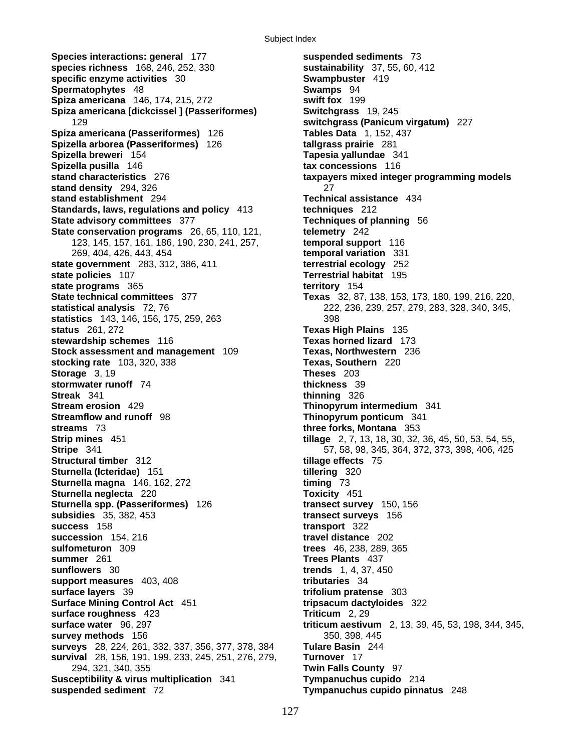Subject Index

**Species interactions: general** 177 **suspended sediments** 73 **species richness** 168, 246, 252, 330 **sustainability** 37, 55, 60, 412 **specific enzyme activities** 30 **Swampbuster** 419 **Spermatophytes** 48 **Swamps** 94 **Spiza americana** 146, 174, 215, 272 **swift fox** 199 **Spiza americana [dickcissel ] (Passeriformes) Switchgrass** 19, 245 129 **switchgrass (Panicum virgatum)** 227 **Spiza americana (Passeriformes)** 126 **Tables Data** 1, 152, 437 **Spizella arborea (Passeriformes)** 126 **tallgrass prairie** 281 **Spizella breweri** 154 **Tapesia yallundae** 341 **Spizella pusilla** 146 **tax concessions** 116 **stand characteristics** 276 **taxpayers mixed integer programming models stand density** 294, 326 **27 stand establishment** 294 **Technical assistance** 434 **Standards, laws, regulations and policy** 413 **techniques** 212 **State advisory committees** 377 **Techniques of planning** 56 **State conservation programs** 26, 65, 110, 121, **telemetry** 242 123, 145, 157, 161, 186, 190, 230, 241, 257, **temporal support** 116 269, 404, 426, 443, 454 **temporal variation** 331 **state government** 283, 312, 386, 411 **terrestrial ecology** 252 **state policies** 107 **Terrestrial habitat** 195 **state programs** 365 **territory** 154 **State technical committees** 377 **Texas** 32, 87, 138, 153, 173, 180, 199, 216, 220, **statistical analysis** 72, 76 222, 236, 239, 257, 279, 283, 328, 340, 345, **statistics** 143, 146, 156, 175, 259, 263 398 **status** 261, 272 **Texas High Plains** 135 **stewardship schemes** 116 **Texas horned lizard** 173 **Stock assessment and management** 109 **Texas, Northwestern** 236 **stocking rate** 103, 320, 338 **Texas, Southern** 220 **Storage** 3, 19 **Theses** 203 **stormwater runoff** 74 **thickness** 39 **Streak** 341 **thinning** 326 **Stream erosion** 429 **Thinopyrum intermedium** 341 **Streamflow and runoff** 98 **Thinopyrum ponticum** 341 **streams** 73 **three forks, Montana** 353 **Strip mines** 451 **tillage** 2, 7, 13, 18, 30, 32, 36, 45, 50, 53, 54, 55, **Stripe** 341 **57, 58, 98, 345, 364, 372, 373, 398, 406, 425 Structural timber** 312 **tillage effects** 75 **Sturnella (Icteridae)** 151 **tillering** 320 **Sturnella magna** 146, 162, 272 **timing** 73 **Sturnella neglecta** 220 **Toxicity** 451 **Sturnella spp. (Passeriformes)** 126 **transect survey** 150, 156 **subsidies** 35, 382, 453 **transect surveys** 156 **success** 158 **transport** 322 **succession** 154, 216 **travel distance** 202 **sulfometuron** 309 **trees** 46, 238, 289, 365 **summer** 261 **Trees Plants** 437 **sunflowers** 30 **trends** 1, 4, 37, 450 **support measures** 403, 408 **tributaries** 34 **surface layers** 39 **trifolium pratense** 303 **Surface Mining Control Act** 451 **tripsacum dactyloides** 322 **surface roughness** 423 **Triticum** 2, 29 **surface water** 96, 297 **triticum aestivum** 2, 13, 39, 45, 53, 198, 344, 345, **survey methods** 156 **350, 398, 445 350, 398, 445 surveys** 28, 224, 261, 332, 337, 356, 377, 378, 384 **Tulare Basin** 244 **survival** 28, 156, 191, 199, 233, 245, 251, 276, 279, **Turnover** 17 294, 321, 340, 355 **Twin Falls County** 97 **Susceptibility & virus multiplication** 341 **Tympanuchus cupido** 214 **suspended sediment** 72 **Tympanuchus cupido pinnatus** 248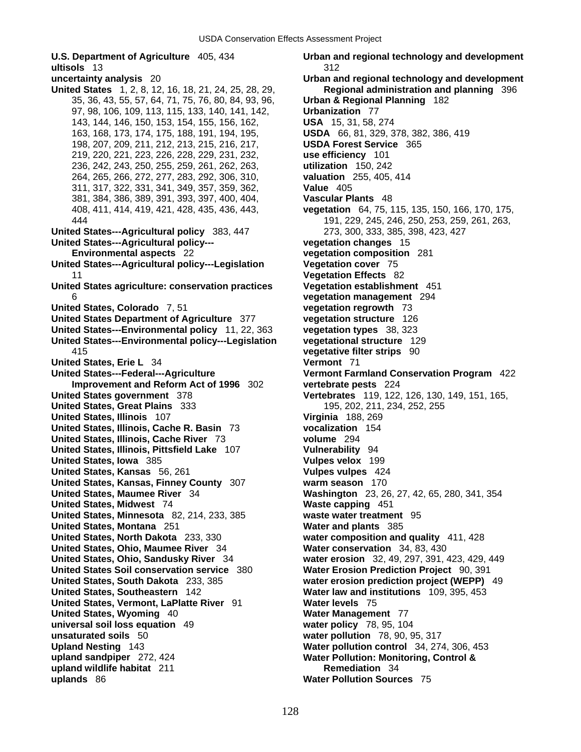**ultisols** 13 312 **United States** 1, 2, 8, 12, 16, 18, 21, 24, 25, 28, 29, **Regional administration and planning** 396 35, 36, 43, 55, 57, 64, 71, 75, 76, 80, 84, 93, 96, **Urban & Regional Planning** 182 97, 98, 106, 109, 113, 115, 133, 140, 141, 142, **Urbanization** 77 143, 144, 146, 150, 153, 154, 155, 156, 162, **USA** 15, 31, 58, 274 163, 168, 173, 174, 175, 188, 191, 194, 195, **USDA** 66, 81, 329, 378, 382, 386, 419 198, 207, 209, 211, 212, 213, 215, 216, 217, **USDA Forest Service** 365 219, 220, 221, 223, 226, 228, 229, 231, 232, **use efficiency** 101 236, 242, 243, 250, 255, 259, 261, 262, 263, **utilization** 150, 242 264, 265, 266, 272, 277, 283, 292, 306, 310, **valuation** 255, 405, 414 311, 317, 322, 331, 341, 349, 357, 359, 362, **Value** 405 381, 384, 386, 389, 391, 393, 397, 400, 404, **Vascular Plants** 48 **United States---Agricultural policy** 383, 447 273, 300, 333, 385, 398, 423, 427 **United States---Agricultural policy--- vegetation changes** 15 **Environmental aspects** 22 **vegetation composition** 281 **United States---Agricultural policy---Legislation Vegetation cover** 75 **United States agriculture: conservation practices Vegetation establishment** 451 6 **vegetation management** 294 **United States, Colorado** 7, 51 **vegetation regrowth** 73 **United States Department of Agriculture** 377 **vegetation structure** 126 **United States---Environmental policy** 11, 22, 363 **vegetation types** 38, 323 **United States---Environmental policy---Legislation vegetational structure** 129 415 **vegetative filter strips** 90 **United States, Erie L** 34 **Vermont** 71 **United States---Federal---Agriculture Vermont Farmland Conservation Program** 422 **Improvement and Reform Act of 1996** 302 **vertebrate pests** 224 **United States government** 378 **Vertebrates** 119, 122, 126, 130, 149, 151, 165, **United States, Great Plains** 333 195, 202, 211, 234, 252, 255 **United States, Illinois** 107 **Virginia** 188, 269 **United States, Illinois, Cache R. Basin** 73 **vocalization** 154 **United States, Illinois, Cache River** 73 **volume** 294 **United States, Illinois, Pittsfield Lake** 107 **Vulnerability** 94 **United States, Iowa** 385 **Vulpes velox** 199 **United States, Kansas** 56, 261 **Vulpes vulpes** 424 **United States, Kansas, Finney County** 307 **warm season** 170 **United States, Maumee River** 34 **Washington** 23, 26, 27, 42, 65, 280, 341, 354 **United States, Midwest** 74 **Waste capping** 451 **United States, Minnesota** 82, 214, 233, 385 **waste water treatment** 95 **United States, Montana** 251 **Water and plants** 385 **United States, North Dakota** 233, 330 **water composition and quality** 411, 428 **United States, Ohio, Maumee River** 34 **Water conservation** 34, 83, 430 **United States, Ohio, Sandusky River** 34 **water erosion** 32, 49, 297, 391, 423, 429, 449 **United States Soil conservation service** 380 **Water Erosion Prediction Project** 90, 391 **United States, South Dakota** 233, 385 **water erosion prediction project (WEPP)** 49 **United States, Southeastern** 142 **Water law and institutions** 109, 395, 453 **United States, Vermont, LaPlatte River** 91 **Water levels** 75 **United States, Wyoming** 40 **Water Management** 77 **universal soil loss equation** 49 **water policy** 78, 95, 104 **unsaturated soils** 50 **water pollution** 78, 90, 95, 317 **Upland Nesting** 143 **Water pollution control** 34, 274, 306, 453 **upland sandpiper** 272, 424 **Water Pollution: Monitoring, Control & upland wildlife habitat** 211 **uplands** 86 **Water Pollution Sources** 75

**U.S. Department of Agriculture** 405, 434 **Urban and regional technology and development uncertainty analysis** 20 **Urban and regional technology and development**  vegetation 64, 75, 115, 135, 150, 166, 170, 175, 444 191, 229, 245, 246, 250, 253, 259, 261, 263, **Vegetation Effects 82**